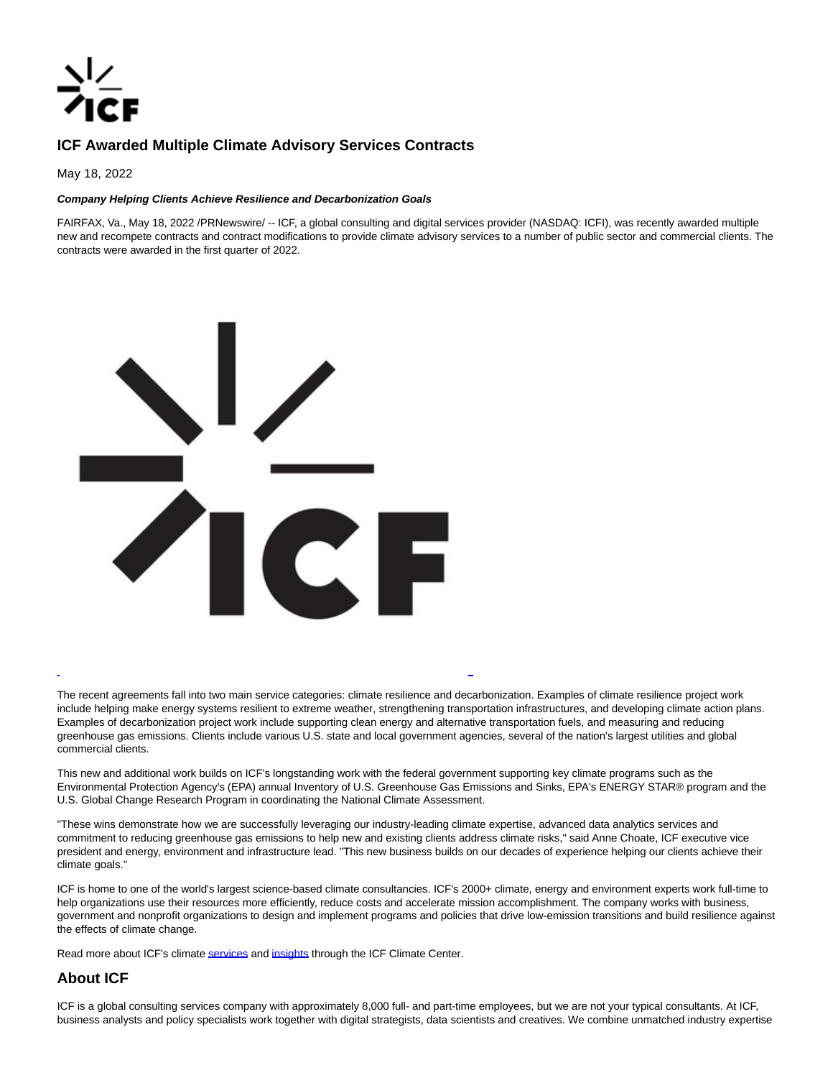

## **ICF Awarded Multiple Climate Advisory Services Contracts**

May 18, 2022

## **Company Helping Clients Achieve Resilience and Decarbonization Goals**

FAIRFAX, Va., May 18, 2022 /PRNewswire/ -- ICF, a global consulting and digital services provider (NASDAQ: ICFI), was recently awarded multiple new and recompete contracts and contract modifications to provide climate advisory services to a number of public sector and commercial clients. The contracts were awarded in the first quarter of 2022.



The recent agreements fall into two main service categories: climate resilience and decarbonization. Examples of climate resilience project work include helping make energy systems resilient to extreme weather, strengthening transportation infrastructures, and developing climate action plans. Examples of decarbonization project work include supporting clean energy and alternative transportation fuels, and measuring and reducing greenhouse gas emissions. Clients include various U.S. state and local government agencies, several of the nation's largest utilities and global commercial clients.

 $\overline{a}$ 

This new and additional work builds on ICF's longstanding work with the federal government supporting key climate programs such as the Environmental Protection Agency's (EPA) annual Inventory of U.S. Greenhouse Gas Emissions and Sinks, EPA's ENERGY STAR® program and the U.S. Global Change Research Program in coordinating the National Climate Assessment.

"These wins demonstrate how we are successfully leveraging our industry-leading climate expertise, advanced data analytics services and commitment to reducing greenhouse gas emissions to help new and existing clients address climate risks," said Anne Choate, ICF executive vice president and energy, environment and infrastructure lead. "This new business builds on our decades of experience helping our clients achieve their climate goals."

ICF is home to one of the world's largest science-based climate consultancies. ICF's 2000+ climate, energy and environment experts work full-time to help organizations use their resources more efficiently, reduce costs and accelerate mission accomplishment. The company works with business, government and nonprofit organizations to design and implement programs and policies that drive low-emission transitions and build resilience against the effects of climate change.

Read more about ICF's climat[e services a](https://c212.net/c/link/?t=0&l=en&o=3541192-1&h=414334658&u=https%3A%2F%2Fwww.icf.com%2Fwork%2Fclimate&a=services)nd [insights t](https://c212.net/c/link/?t=0&l=en&o=3541192-1&h=1770240018&u=https%3A%2F%2Fwww.icf.com%2Fclimate&a=insights)hrough the ICF Climate Center.

## **About ICF**

ICF is a global consulting services company with approximately 8,000 full- and part-time employees, but we are not your typical consultants. At ICF, business analysts and policy specialists work together with digital strategists, data scientists and creatives. We combine unmatched industry expertise